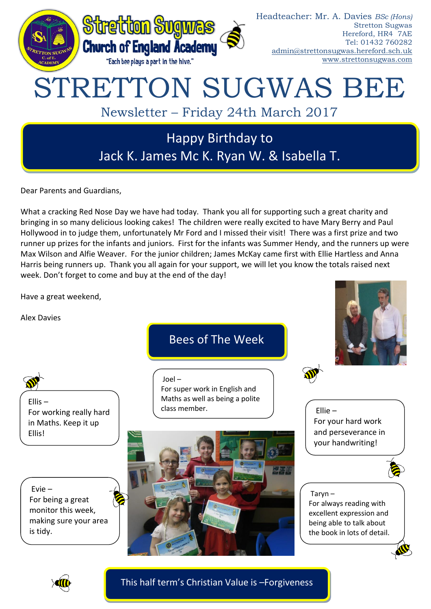

Dear Parents and Guardians,

What a cracking Red Nose Day we have had today. Thank you all for supporting such a great charity and bringing in so many delicious looking cakes! The children were really excited to have Mary Berry and Paul Hollywood in to judge them, unfortunately Mr Ford and I missed their visit! There was a first prize and two runner up prizes for the infants and juniors. First for the infants was Summer Hendy, and the runners up were Max Wilson and Alfie Weaver. For the junior children; James McKay came first with Ellie Hartless and Anna Harris being runners up. Thank you all again for your support, we will let you know the totals raised next week. Don't forget to come and buy at the end of the day!

Have a great weekend,

Alex Davies

Bees of The Week



Ellis – For working really hard in Maths. Keep it up Ellis!

Evie – For being a great monitor this week, making sure your area is tidy.

# Joel –

For super work in English and Maths as well as being a polite class member.



Ellie – For your hard work and perseverance in your handwriting!



## Taryn – For always reading with excellent expression and being able to talk about the book in lots of detail.



This half term's Christian Value is –Forgiveness